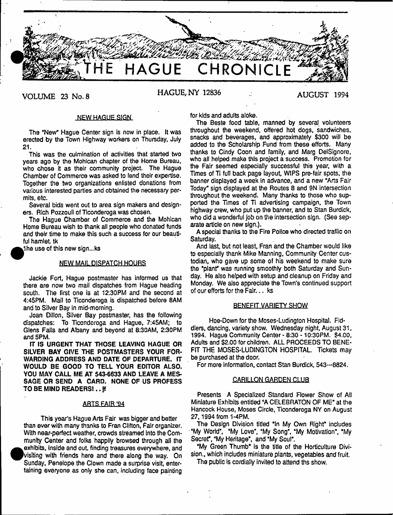

# **VOLUME 23 No. 8 HAGUE, NY 12836 AUGUST 1994**

#### NEWHAGUE\_S1GN\_

The "New" Hague Center sign is now in place. It was erected by the Town Highway workers on Thursday, July 21**.**

This was the culmination of activities that started two years ago by the Mohican chapter of the Home Bureau, who chose it as their community project. The Hague Chamber of Commerce was asked to lend their expertise. Together the two organizations enlisted donations from various interested parties and obtained the necessary permits, etc.

Several bids went out to area sign makers and designers. Rich Pozzouli of Ticonderoga was chosen.

The Hague Chamber of Commerce and the Mohican Home Bureau wish to thank all people who donated funds and their time to make this such a success for our beautiful hamlet, tk

1he use of this new sign...ks

# NEW MAIL DISPATCH HOURS

Jackie Fort, Hague postmaster has informed us that there are now two mail dispatches from Hague heading south. The first one is at 12:30PM and the second at 4:45PM. Mail to Ticonderoga is dispatched before 8AM and to Silver Bay in mid-morning.

Joan Diiion, Silver Bay postmaster, has the following dispatches: To Ticonderoga and Hague, 7:45AM; to Glens Falls and Albany and beyond at 8:30AM, 2:30PM and 5PM.

IT IS URGENT THAT THOSE LEAVING HAGUE OR SILVER BAY GIVE THE POSTMASTERS YOUR FOR-WARDING ADDRESS AND DATE OF DEPARTURE. fT WOULD BE GOOD TO TELL YOUR EDITOR ALSO. YOU MAY CALL ME AT 543-6633 AND LEAVE A MES-SAGE OR SEND A CARD. NONE OF US PROFESS TO BE MIND READERS!., jf

# **ABIS EAIR '94**

This year's Hague Arts Fair was bigger and better than ever with many thanks to Fran Clifton, Fair organizer. With near-perfect weather, crowds streamed into the Community Center and folks happily browsed through all the exhibits, inside and out, finding treasures everywhere, and Ivislting with friends here and there along the way. On Sunday, Penelope the Clown made a surprise visit, entertaining everyone as only she can, including face painting

for kids and adults aloke.

The Beste food table, manned by several volunteers throughout the weekend, offered hot dogs, sandwiches, snacks and beverages, and approximately \$300 will be added to the Scholarship Fund from these efforts. Many thanks to Cindy Coon and family, and Marg DelSignore, who all helped make this project a success. Promotion for the Fair seemed especially successful this year, with a Times of *T\* full back page layout, WIPS pre-fair spots, the banner displayed a week in advance, and a new "Arts Fair Today\* sign displayed at the Routes 8 and 9N intersection throughout the weekend. Many thanks to those who supported the Times of Ti advertising campaign, the Town highway crew, who put up the banner, and to Stan Burdick, who did a wonderful job on the intersection sign. (See separate article on new sign.).

A special thanks to the Fire Police who directed traffic on Saturday.

And last, but not least, Fran and the Chamber would like to especially thank Mike Manning, Community Center custodian, who gave up some of his weekend to make sure the "plant" was running smoothly both Saturday and Sunday. He also helped with setup and cleanup on Friday and Monday. We also appreciate the Town's continued support of our efforts for the Fain.. ks

#### BENEFIT VARIETY SHOW

Hoe-Down for the Moses-Ludington Hospital. Fiddlers, dancing, variety show. Wednesday night, August 31, 1994. Hague Community Center - 8:30 - 10:30PM. \$4.00, Adults and \$2.00 for children. ALL PROCEEDS TO BENE-FIT THE MOSES-LUDINGTON HOSPITAL. Tickets may be purchased at the door.

For more information, contact Stan Burdick, 543—8824.

# CARILLON GARDEN CLUB

Presents A Specialized Standard Flower Show of All Miniature Exhibits entitled "A CELEBRATON OF ME" at the Hancock House, Moses Circle, Ticonderoga NY on August 27,1994 from 1-4PM.

The Design Division titled "In My Own Right" includes "My World", "My Love", "My Song", "My Motivation", "My Secret", "My Heritage", and "My Soul".

"My Green Thumb" is the title of the Horticulture Division., which includes miniature plants, vegetables and fruit. The public is cordially invited to attend ths show.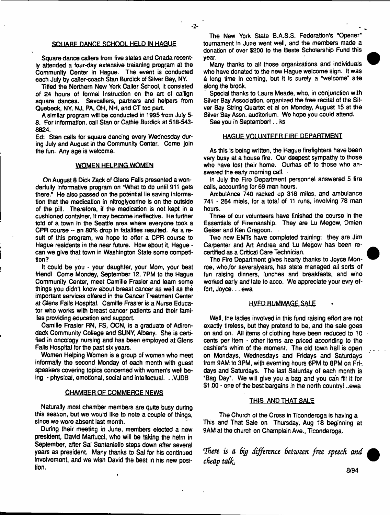# SQUARE DANCE SCHOOL HELD IN HAGUE

Square dance callers from five states and Cnada recently attended a four-day extensive traianing program at the Community Center in Hague. The event is conducted each July by caller-coach Stan Burdick of Silver Bay, NY.

Titled the Northern New York Caller School, it consisted of 24 hours of formal Instruction on the art of callign square dances. Sevcallers, partners and helpers from Quebeck, NY, NJ, PA, OH, NH, and CT too part.

A similar program will be conducted in 1995 from July 5- 8. For information, call Stan or Cathie Burdick at 518-543- 8824.

Ed: Stan calls for square dancing every Wednesday during July and August in the Community Center. Come join the fun. Any age is welcome.

### WOMEN HELPING WOMEN

On August 8 Dick Zack of Glens Falls presented a wonderfully informative program on "What to do until 911 gets there." He also passed on the potential lie saving information that the medication in nitroglycerine is on the outside of the pill. Therefore, if the medication is not kept in a cushioned container, It may become ineffective. He further told of a town in the Seattle area where everyone took a CPR course - an 80% drop in fatalities resulted. As a result of this program, we hope to offer a CPR course to Hague residents in the near future. How about it, Hague can we give that town in Washington State some competition?

It could be you - your daughter, your Mom, your best friendl Come Monday, September 12, 7PM to the Hague Community Center, meet Camille Frasier and learn some things you didn't know about breast cancer as well as the important services offered in the Cancer Treatment Center at Glens Falls Hospital. Camille Frasier is a Nurse Educator who works with breast cancer patients and their families providing education and support.

Camille Frasier RN, FS, OCN, is a graduate of Adirondack Community College and SUNY, Albany. She is certified in oncology nursing and has been employed at Glens Falls Hospital for the past six years.

Women Helping Women is a group of women who meet informally the second Monday of each month with guest speakers covering topics concerned with women's well being - physical, emotional, social and intellectual. . .VJDB

#### CHAMBER QF COMMERCE NEWS

Naturally most chamber members are quite busy during this season, but we would like to note a couple of things, since we were absent last month.

During their meeting in June, members elected a new president, David Martucci, who will be taking the helm in September, after Sal Santanieilo steps down after several years as president. Many thanks to Sal for his continued involvement, and we wish David the best in his new position.

The New York State B.A.S.S. Federation's "Opener" tournament in June went well, and the members made a donation of over \$200 to the Beste Scholarship Fund this year.

Many thanks to all those organizations and individuals who have donated to the new Hague welcome sign. It was a long time In coming, but it is surely a "welcome" site along the brook.

Special thanks to Laura Meade, who, in conjunction with Silver Bay Association, organized the free recital of the Silver Bay String Quartet et al on Monday, August 15 at the Silver Bay Assn. auditorium. We hope you could attend.

See you in September! . . ks

# HAGUE VOLUNTEER FIRE DEPARTMENT

As this is being written, the Hague firefighters have been very busy at a house fire. Our deepest sympathy to those who have lost their home. Ourhas off to those who answered the earty morning call.

In July the. Fire Department personnel answered 5 fire calls, accounting for 69 man hours.

AmbutAnce 740 racked up 318 miles, and ambulance 741 - 264 miels, for a total of 11 runs, involving 78 man hours.

Three of our volunteers have finished the course in the Essentials of Firemanship. They are Lu Megow, Dmien Geiser and Ken Gragoon.

Two new EMTs have completed training: they are Jim Carpenter and Art Andrea and Lu Megow has been recertified as a Critical Care Technician.

The Fire Department gives hearty thanks to Joyce Monroe, who,for severalyears, has state managed all sorts of fun raising dinners, lunches and breakfasts, and who worked early and late to acco. We appreciate your evry effort, Joyce... ewa

# **HVFD RUMMAGE SALE**

Well, the ladies involved in this fund raising effort are not exactly tireless, but they pretend to be, and the sale goes on and on. All items of clothing have been reduced to 10 cents per item - other items are priced accoriding to the cashier's whim of the moment. The old town hall is open on Mondays, Wednesdays and Fridays and Saturdays from 9AM to 3PM, with eveming hours 6PM to 8PM on Fridays and Saturdays. The last Saturday of each month is "Bag Day". We will give you a bag and you can fill it for \$1.00 - one of the best bargains in the north country! ..ewa

#### THIS AND THAT SALE

The Church of the Cross in Ticonderoga is having a This and That Sale on Thursday, Aug 18 beginning at 9AM at the church on Champlain Ave., Ticonderoga.

*'Ih m is a Big difference Between free speech and cheap talk.*

8/94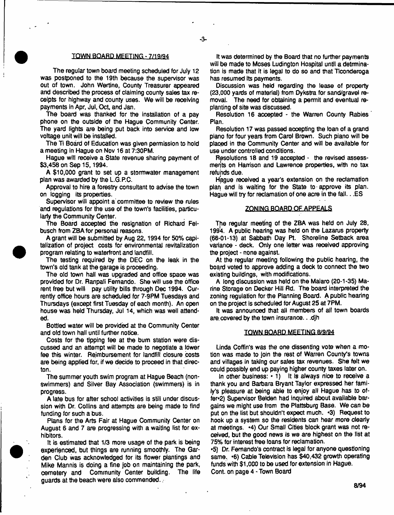#### TOWN BOARD. MEETING - 7/19/94

 $-3-$ 

The regular town board meeting scheduled for July 12 was postponed to the 19th because the supervisor was out of town. John Wertine, County Treasurer appeared and described the process of claiming county sales tax receipts for highway and county uses. We will be receiving payments in Apr, Jul, Oct, and Jan.

The board was thanked for the installation of a pay phone on the outside of the Hague Community Center. The yard lights are being put back into service and low voltage unit will be installed.

The Ti Board of Education was given permission to hold a meeting in Hague on Nov 16 at 7:30PM.

Hague will receive a State revenue sharing payment of \$3,458 on Sep 15,1994.

A \$10,000 grant to set up a stormwater management plan was awarded by the L.G.P.C.

Approval to hire a forestry consultant to advise the town on logging its properties.

Supervisor will appoint a committee to review the rules and regulations for the use of the town's facilities, particularly the Community Center.

The Board accepted the resignation of Richard Felbusch from ZBA for personal reasons.

A grant will be submitted by Aug 22,1994 for 50% capitalization of project costs for environmental revitalization program relating to waterfront and landfill.

The testing required by the DEC on the leak in the town's old tank at the garage is proceeding.

The old town hall was upgraded and office spaoe was provided for Dr. Ranpali Fernando. She will use the office rent free but will pay utility bills through Dec 1994. Currently office hours are scheduled for 7-9PM Tuesdays and Thursdays (except first Tuesday of each month). An open house was held Thursday, Jul 14, which was well attended.

Bottled water will be provided at the Community Center and old town hall until further notice.

Costs for the tipping fee at the bum station were discussed and an attempt will be made to negotiate a lower fee this winter. Reimbursement for landfill closure costs are being applied for, if we decide to proceed in that directon.

The summer youth swim program at Hague Beach (nonswimmers) and Silver Bay Association (swimmers) is in progress.

A late bus for after school activities is still under discussion with Dr. Collins and attempts are being made to find funding for such a bus.

Plans for the Arts Fair at Hague Community Center on August 6 and 7 are progressing with a waiting list for exhibitors.

It is estimated that 1/3 more usage of the park is being experienced, but things are running smoothly. The Garden Club was acknowledged for its flower plantings and Mike Mannis is doing a fine job on maintaining the park, cemetery and Community Center building. The life cemetery and Community Center building. guards at the beach were also commended..

It was determined by the Board that no further payments will be made to Moses Ludington Hospital until a detrmination is made that it is legal to do so and that Ticonderoga has resumed its payments.

Discussion was held regarding the lease of property (23,000 yards of material) from Dykstra for sand/gravel removal. The need for obtaining a permit and eventual replanting of site was discussed.

Resolution 16 accepted - the Warren County Rabies Plan.

Resolution 17 was passed accepting the loan of a grand piano for four years from Carol Brown. Such piano will be placed in the Community Center and will be available for use under controlled conditions.

Resolutions 18 and 19 accepted - the revised assessments on Harrison and Lawrence properties, with no tax refunds due.

Hague received a year's extension on the reclamation plan and is waiting for the State to-approve its plan. Hague wiii try for reclamation of one acre in the fail.. .ES

# ZONING BOARD QF\_APPEALS

The regular meeting of the ZBA was held on July 28, 1994. A public hearing was held on the Lazarus property (66-01-13) at Sabbath Day Pt. Shoreline Setback area variance - deck. Only one letter was received approving the project - none against.

At the regular meeting following the public hearing, the board voted to approve adding a deck to connect the two existing buildings, with modifications.

A long discussion was held on the Maiaro (20-1 -35) Marine Storage on Decker Hill Rd. The board interpreted the zoning regulation for the Planning Board. A public hearing on the project is scheduled for August 25 at 7PM.

It was announced that all members of all town boards are, covered by the town insurance.. .djh

# TOWN BOARD MEETING 8/9/94

Linda Coffin's was the one dissenting vote when a motion was made to join the rest of Warren County's towns and villages in taking our sates tax revenues. She felt we could possibly end up paying higher county taxes later on.

In other business:  $\cdot$  1) It is always nice to receive a thank you and Barbara Bryant Taylor expressed her family's pleasure at being able to enjoy all Hague has to offer\*2) Supervisor Belden had inquired about available bargains we might use from the Plattsburg Base. We can be put on the list but shouldn't expect much. \*3) Request to hook up a system so the residents can hear more dearly at meetings. \*4) Our SmaJ) Cities block grant was not received, but the good news is *we* are highest on the list at 75% for interest free loans for reclamation.

•5) Dr. Fernando's contract is legal for anyone questioning same, \*6) Cable Television has \$40,432 growth operating funds with \$1,000 to be used for extension in Hague. Cont. on page 4 - Town Board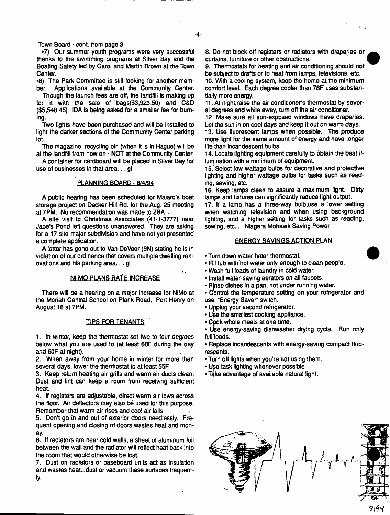Town Board - cont. from page 3

•7) Our summer youth programs were very successful thanks to the swimming programs at Silver Bay and the Boating Safety led by Caro) and Martin Brown at the Town Center.

•8) The Park Committee is still looking for another member. Applications available at the Community Center.

Though the launch fees are off, the landfill is making up for it with the sale of bags(\$3,923.50) and C&D (\$5,548.45) IDA is being asked for a smaller fee for burning.

Two lights have been purchased and will.be Installed to light the darker sections of the Community Center parking lot.

The magazine recycling bin (when it is in Hague) will be at the landfill from now on - NOT at the Community Center.

A container for cardboard will be placed in Silver Bay for use of businesses in that area... gl

# PLANNING BOARD - 8/4/94

A public hearing has been scheduled for Maiaro's boat storage project on Decker Hill Rd. for the Aug. 25 meeting at 7PM. No recommendation was made to 2BA..

A site visit to Christmas Associates (41-1-3777) near Jabe's Pond left questions unanswered. They are asking for a 17 site major subdivision and have not yet presented a complete application.

A letter has gone out to Van DeVeer (9N) stating he is in violation of our ordinance that covers multiple dwelling renovations and his parking area... gl

# Nl MQ PLANS RATE INCREASE

There will be a hearing on a major increase for NiMo at the Moriah Central School on Plank Road, Port Henry on August 18 at 7PM.

# TIPS FOR TENANTS

1. In winter, keep the thermostat set two to four degrees below what you are used to (at least 68F during the day and 60F at night).

2. When away from your home in winter for more than several days, lower the thermostat to at least 55F.

3. Keep return heating air grills and warm air ducts dean. Dust and lint can keep a room from receiving sufficient heat.

4. If registers are adjustable, direct warm ajr lows across the floor. Air deflectors may also be used for this purpose. Remember that warm air rises and coo! air falls.

5. Don't go in and out of exterior doors needlessly. Frequent opening and closing of doors wastes heat and money.

6. If radiators are near cold walls, a sheet of aluminum foil between the wail and the radiator will reflect heat back into the room that would otherwise be lost.

7. Dust on radiators or baseboard units act as insulation and wastes heat...dust or vacuum these surfaces frequently.

8. Do not block off registers or radiators with draperies or curtains, furniture or other obstructions.

9. Thermostats for heating and air conditioning should not be subject to drafts or to heat from lamps, televisions, etc. **10.** With a cooling system, keep the home at the minimum comfort level. Each degree cooler than **76F** uses substantially more energy.

**11.** At night,raise the air conditioner's thermostat by several degrees and while away, turn off the air conditioner..

12. Make sure all sun-exposed windows have draperies. Let the sun in on cool days and keep it out on warm days.

**13.** Use fluorescent lamps when possible. The produce mofe light for the same amount of energy and have longer life than incandescent bulbs.

14. Locate lighting equipment carefulty to obtain the best itlumination with a minimum of equipment.

15. Select low wattage bulbs for decorative and protective lighting and higher wattage bulbs for tasks such as reading, sewing, etc.

16. Keep lamps clean to assure a maximum light. Dirty lamps and fixtures can significantly reduce light output

**17.** If a lamp has a three-way bulb,use a lower setting when watching television and when using background lighting, and a higher setting for tasks such as reading, sewing, etc... Niagara Mohawk Saving Power

# ENERGY SAVINGS ACTION PLAN

- Turn down water hater thermostat
- Fill tub with hot water only enough to clean people.
- Wash full loads of laundry in cold water.
- Install water-saving aerators on all faucets.
- Rjnse dishes in a pan, not under running water.
- Control the temperature setting on your refrigerator and use "Energy Saver" switch.
- Upplug your second refrigerator.
- Use the smallest cooking appliance.
- Cpok whole meals at one time.
- Use energy-saving dishwasher drying cycle. Run only full loads.

• Replace incandescents with energy-saving compact fluorescents.

- •Turn off fights when you're not using them.
- Use task lighting whenever possible
- Take advantage of available natural light.



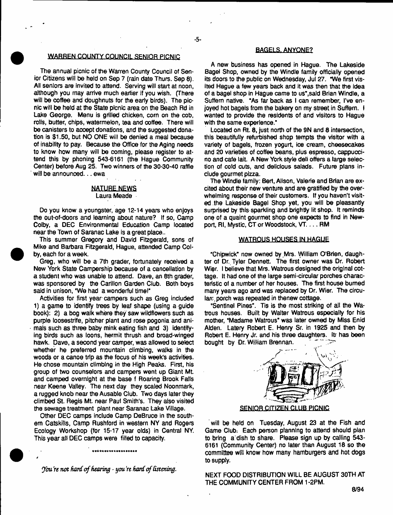#### WARREN COUNTY COUNCIL SENIOR PICNIC

The annual picnic of the Warren County Council of Senior Citizens will be held on Sep 7 (rain date Thurs. Sep 8). All seniors are invited to attend. Serving will start at noon, although you may arrive much earlier if you wish. (There will be coffee and doughnuts for the early birds). The picnic will be held at the State picnic area on the Beach Rd in Lake George. Menu is grilled chicken, corn on the cob, rolls, butter, chips, watermelon, tea and coffee. There will be canisters to acoept donations, and the suggested donation is \$1.50, but NO ONE will be denied a meal because of inability to pay. Because the Office for the Aging needs to know how many will be coming, please register to attend this by phoning 543-6161 (the Hague Community Center) before Aug 25. Two winners of the 30-30-40 raffle will be announced. . . ewa

# NATURE NEWS

Laura Meade

Do you know a youngster, age 12-14 years who enjoys the out-of-doors and learning about nature? if so, Camp Colby, a DEC Environmental Education Camp located near the Town of Saranac Lake is a great place..

This summer Gregory and David Fitzgerald, sons of Mike and Barbara Fitzgerald, Hague, attended Camp Colby, each for a week.

Greg, who will be a 7th grader, fortunately received a New York State Campership because of a cancellation by a student who was unable to attend. Dave, an 8th grader, was sponsored by the Carillon Garden Club. Both boys said in unison, "We had a wonderful time!"

Activities for first year-campers such as Greg included 1) a game to identify trees by leaf shape (using a guide book): 2) a bog walk where they saw wifdflowers such as purple loosestrife, pitcher plant and rose pogonia and animals such as three baby mink eating fish and 3) identifying birds such as loons, hermit thrush and broad-winged hawk. Dave, a second year camper, was allowed to select whether he preferred mountain climbing, walks in the woods or a canoe trip as the focus of his week's activities. He chose mountain climbing in the High Peaks. First, his group of two counselors and campers went up Giant Mt and camped overnight at the base f Roaring Brook Fails near Keene Valfey. The next day they scaled Noonmark, a rugged knob near the Ausable Club. Two days later they climbed St. Regis Mt near Paul Smith's. They also visited the sewage treatment plant near Saranac Lake Village.

Other DEC camps include Camp DeBruce in the southern Catskills, Camp Rushford in western NY and Rogers Ecology Workshop (for 15-17 year olds) in Central NY. This year all DEC camps were filled to capacity.

♦\*++\* \*'\*♦♦\*\*\* \*\*\*\*\*\*\*

*You're not hard of hearing - you're hard of listening.* 

*4*

#### BAGELS. ANYONE?

A new business has opened in Hague. The Lakeside Bagel Shop, owned by the Windle family officially opened its doors to the public on Wednesday, Jul 27. "We first visited Hague a few years back and it was then that the idea of a bagel shop in Hague came to us", said Brian Windle, a Suffem native. "As far back as I can remember, I've enjoyed hot bagels from the bakery on my street in Suffern. I wanted to provide the residents of and visitors to Hague with the same experience."

Located on Rt. 8, just north of the 9N and 8 intersection, this beautifully refurbished shop tempts the visitor with a variety of bagels, frozen yogurt, ice cream, cheesecakes and 20 varieties of coffee beans, plus espresso, cappuccino and cafe lait. A New York style deli offers a targe selection of cold cuts, and delicious salads. Future plans include gourmet pizza.

The Windle family: Bert, Alison, Valerie and Brian are excited about their new venture and are gratified by the overwhelming response of their customers. If you haven't visited the Lakeside Bagel Shop yet, you will be pleasantly surprised by this sparkling and brightly lit shop. It reminds one of a quaint gourmet shop one expects to find in Newport, Rl, Mystic, CT or Woodstock, VT.... RM

# WATRQUS HOUSES IN HAGUE

"Chipwick" now owned by Mrs. William O'Brien, daughter of Dr. Tyler Dennett. The first owner was Dr. Robert Wier. I believe that Mrs. Watrous designed the original cottage. It had one of the large semi-circular porches characteristic of a number of her houses. The first house burned many years ago and was replaced by Dr. Wier. The circularc porch was repeated in thenew cottage.

"Sentinel Pines". Tis is the most striking of all the Watrous houses. Built by Walter Watrous especially for his mother, "Madame Watrous" was later owned by Miss Enid Atden. Latery Robert E. Henry Sr. in 1925 and then by Robert E. Henry Jr. and his three daughters, itr has been bought by Dr. William Brennan.



will be held on Tuesday, August 23 at the Fish and Game Club: Each person planning to attend should plan to bring a dish to share. Please sign up by calling 543- 6161 (Community Center) no later than August 18 so the committee will know how many hamburgers and hot dogs to supply.

NEXT FOOD DISTRIBUTION WILL BE AUGUST 30TH AT THE COMMUNITY CENTER FROM 1-2PM.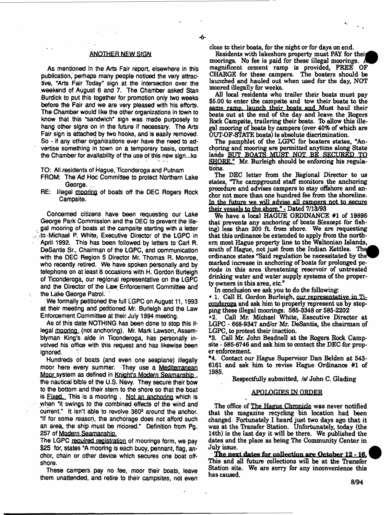#### ANOTHER NEW SIGN

As mentioned in the Arts Fair report, elsewhere in this publication, perhaps many people noticed the very attractive, "Arts Fair Today" sign at the intersection over the weekend of August 6 and 7. The Chamber asked Stan Burdick to put this together for promotion only two weeks before the Fair and we are very pleased with his efforts. The Chamber would like the other organizations In town to know that this "sandwich" sign was made purposely to hang other signs on in the future if necessary. The Arts Fair sign is attached by two hooks, and is easily removed. So - if any other organizations ever have the need to advertise something in town on a temporary basis, contact the Chamber for availability of the use of this new sign...ks

TO: All.residents of Hague, Ticonderoga and Putnam

FROM: The Ad Hoc Committee to protect Northern Lake George.

RE: Illegal mooring of boats off the DEC Rogers Rock Campsite.

Concerned citizens have been requesting our Lake George Park Commission and the DEC to prevent the illegal mooring of boats at the campsite starting with a letter -to Michael P. White, Executive Director of the LGPC in April. 1992. This has been followed by letters to Carl R. DeSantis Sr., Chairman of the LGPC, and communication with the DEC Region 5 Director Mr. Thomas R. Monroe, who recently retired. We have spoken personally and by telephone on at least 8 occasions with H. Gordon Burleigh of Ticonderoga, our regional representative on the LGPC and the Director of'the Law Enforcement Committee and the Lake George Patrol.

We formally petitioned the full LGPC on August 11, 1993 at their meeting and petitioned Mr. Burleigh and the Law Enforcement Committee at their July 1994 meeting.

As of this date NOTHING has been done to stop this illegal mooring (not anchoring). Mr. Mark Lawson, Assemblyman King's aide in Ticonderoga, has personally involved his office with this request and has likewise been ignored.

Hundreds of boats (and even one seaplane) illegally moor here every summer. They use a Mediterranean Moor system as defined in Knight's Modern Seamanship. the nautical bible of the U.S. Navy. They secure their bow to the bottom and their stem to the shore so that the boat is Fixed. This is a mooring, Not an anchoring which is when "it swings to the combined effects of the wind and current." It isn't able to revolve 360° around the anchor. "If for some reason, the anchorage does not afford such an area, the ship must be moored." Definition from Pg. 257 of Modern Seamanship.

The LGPC required registration of moorings form, we pay \$25 for, states "A mooring is each buoy, pennant, flag, anchor, chain or other device which secures one boat offshore.

These campers pay no fee, moor their boats, leave them unattended, and retire to their campsites, not even dose to their boats, for the night or for days on end.

Residents with lakeshore property must PAY for their moorings. No fee is paid for these illegal moorings. A magnificent cement ramp is provided, FREE OF CHARGE for these campers. The boaters should be launched and hauled out when used for the day, NOT moored illegally for weeks.

All local residents who trailer their boats must pay \$6.00 to enter the campsite and tow their boats to the same ramp, launch their boats and Must haul their boats out at the end of the day and leave the Rogers Rock Campsite, trailering their boats. To allow this illegal mooring of boats by campers (over 40% of which are OUT-OF-STATE boats) is absolute discrimination.

The pamphlet of the LGPC for boaters states, "Anchoring and mooring are permitted anytime along State lands BUT BOATS MUST NOT BE SECURED TO SHORE." Mr. Burleigh should be enforcing his regulations.

The DEC letter from the Regional Director to us states, "The campground staff monitors the anchoring procedure and advises campers to stay offshore and anchor not more than one hundred fee from the shoreline. In the future we will advise all camoers not to secure their vessels to the shore." - Dated 7/13/93

We have a local HAGUE ORDINANCE #1 of 19895 that prevents any anchoring of boats S(except for fishing) less than 200 ft from shore. We are requesting that this ordinance be extended to apply from the northern most Hague property line to the Waltonian Islands, south of Hague, not just from the Indian Kettles. The ordinance states "Said regulation be necessitated by the marked increase in anchoring of boats for prolonged periods in this area threatening reservoir of untreated drinking water and water supply systems of the property pwners in this area, etc."

In conclusion we ask you to do the following:

• 1. Call H. Gordon Burleigh, our representative in Ticonderoga and ask him to properly represent us by stopping these illegal moorings. 585-3348 or 585-2202

\*2. Call Mr. Michael White, Executive Director at LGPC - 668-9347 and/or Mr. DeSantis, the chairman of LGPC, to protest their inaction.

\*3. Call Mr. John BeadneU at the Rogers Rock Campsite - 585-6746 and ask him to contact the DEC for proper enforcement

\*4. Contact our Hague Supervisor Dan Belden at 543- 6161 and ask him to revise Hague Ordinance #1 of 1935.

Respectfully submitted, *fst* John C. Glading

# **APQLQGEESiN. ORDER**

The office of The Hague Chronicle was never notified that the magazine recycling bin location had been changed Fortunately I heard just two days ago that it was at the Transfer Station. Unfortunately, today (the 14th) is the last day it will be there. We published the dates and the place as being The Community Center in July issue.

The next dates for collection are October 12 -16. ^ This and all future collections will be at the Transfer Station site. We are sorry for any inconvenience this has caused.

8/94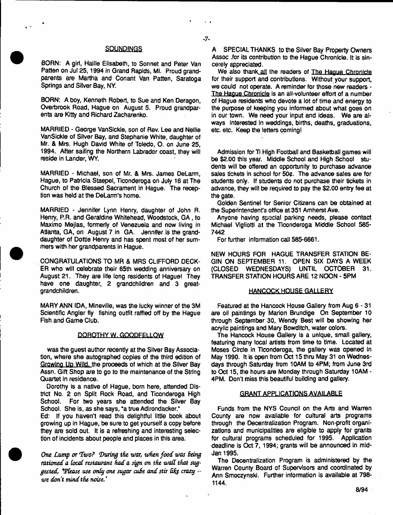# **SOUNDINGS**

- 7-

BORN: A girl, Haille Elisabeth, to Sonnet and Peter Van Patten on Jut 25,1994 in Grand Rapids, Mi. Proud grandparents are Martha and Conant Van Patten, Saratoga Springs and Silver Bay, NY.

BORN: A boy, Kenneth Robert, to Sue and Ken Deragon, Overbrook Road, Hague on August 5, Proud grandparents are Kitty and Richard Zacharenko.

MARRIED - George VanSlckle, son of Rev. Lee and Neltie Van Sickle of Silver Bay, and Stephanie White, daughter of Mr. & Mrs. Hugh David White of Toledo, O. on June 25, 1994. After sailing the Northern Labrador coast, they will reside in Lander, WY.

MARRIED - Michael, son of Mr. & Mrs. James DeLarm, Hague, to Patricia Staepel, Ticonderoga on July 16 at The Church of the Blessed Sacrament in Hague. The reception was held at the DeLarm's home.

MARRIED - Jennifer Lynn Henry, daughter of John R. Henry, P.R. and Geraldine Whitehead, Woodstock, GA , to Maximo Mejias, formerly of Venezuela and now living in Atlanta, GA, on August 7 in GA. Jennifer is the granddaughter of Dottie Henry and has spent most of her summers with her grandparents in Hague.

CONGRATULATIONS TO MR & MRS CLIFFORD DECK-ER who will celebrate their 65th wedding anniversary on August 21. They are life long residents of Hague! They have one daughter, 2 grandchildren and 3 greatgrandchildren.

MARY ANN IDA, Mineville, was the lucky winner of the 3M Scientific Angler fly fishing outfit raffled off by the Hague Fish and Game Club.

# QQRQTHY W. GQQDFELLQW

was the guest author recently at the Silver Bay Association, where she autographed copies of the third edition of Growino Up Wild, the proceeds of which at the Silver Bay Assn. Gift Shop are to go to the maintenance of the String Quartet in residence.

Dorothy is a native of Hague, born here, attended District No. 2 on Split Rock Road, and Ticonderoga High School. For two years she attended the Silver Bay School. She is, as she says, "a true Adirondacker."

Ed: If you haven't read this delightful little book about growing up in Hague, be sure to get yourself a copy before they are sold out. It is a refreshing and interesting selection of incidents about people and places in this area.

*One Lump or Two? During the war, when food was being* rationed a local restaurant had a sign on the wall that sug*gested, Vdease use only one sugar cuBe and stir bfe crazy* -\* *we don't mind the noise.* 

A SPECIAL THANKS to the Silver Bay Property Owners Assoc .for its contribution to the Hague Chronicle. It is sincerely appreciated.

We also thank all the readers of The Hague **Chronicle** for their support and contributions. Without your support, we could not operate. A reminder for those new readers - The Hague Chronicle is an all-volunteer effort of a number of Hague residents who devote a lot of time and energy to the purpose of keeping you informed about what goes on in our town. We need your input and ideas. We are always interested In weddings, births, deaths, graduations, etc. etc. Keep the letters coming!

Admission for Ti High Football and Basketball games will be \$2.00 this year. Middle School and High School students will be offered an opportunity to purchase advance sales tickets in school for 50¢. The advance sales are for students only. If students do not purchase their tickets in advance, they will be required to pay the \$2.00 entry fee at the gate.

Golden Sentinel for Senior Citizens can be obtained at the Superintendent's office at 351 Amherst Ave.

Anyone having special parking needs, please contact Michael Vigliotti at the Ticonderoga Middle School 585- 7442

For further information call 585-6661.

NEW HOURS FOR HAGUE TRANSFER STATION BE-GIN ON SEPTEMBER 11. OPEN SIX DAYS A WEEK (CLOSED WEDNESDAYS) UNTIL OCTOBER 31. TRANSFER STATION HOURS ARE 12 NOON - 5PM

# HANCOCK HOUSE GALLERY

Featured at the Hancock House Gallery from Aug 6-31 are oil paintings by Marion Brundige On September 10 through September 30, Wendy Best will be showing her acrylic paintings and Mary Bowditch, water colors.

The Hancock House Gallery is a unique, small gallery, featuring many local artists from time to time. Located at Moses Circle in Ticonderoga, the gallery was opened in May 1990. It is open from Oct 15 thru May 31 on Wednesdays through Saturday from 10AM to 4PM; from June 3rd to Oct 15, the hours are Monday through Saturday 10AM - 4PM. Don't miss this beautiful building and gallery.

# GRANT APPLICATIONS AVAILABLE

Funds from the NYS Council on the Arts and Warren County are now available for cultural arts programs through the Decentralization Program. Non-profit organizations and municipalities are eligible to apply for grants for cultural programs scheduled for 1995. Application deadline is Oct 7, 1994; grants will be announced in mid-Jan 1995.

The Decentralization Program is administered by the Warren County Board of Supervisors and coordinated by Ann Smoczynski. Further information is available at 798- 1144.